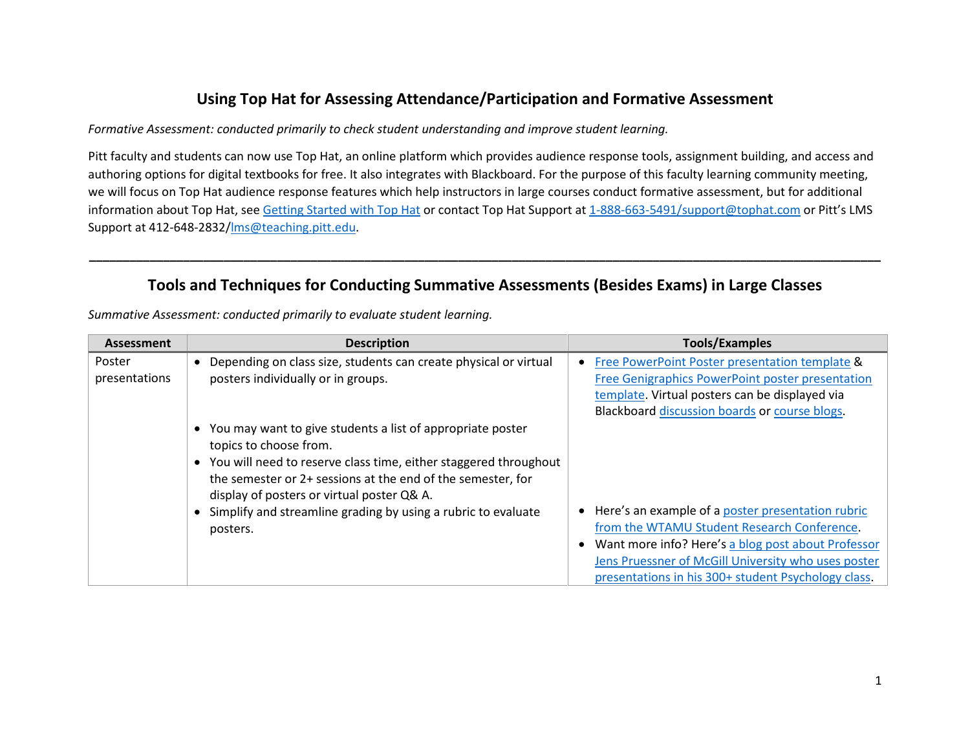## **Using Top Hat for Assessing Attendance/Participation and Formative Assessment**

*Formative Assessment: conducted primarily to check student understanding and improve student learning.*

Pitt faculty and students can now use Top Hat, an online platform which provides audience response tools, assignment building, and access and authoring options for digital textbooks for free. It also integrates with Blackboard. For the purpose of this faculty learning community meeting, we will focus on Top Hat audience response features which help instructors in large courses conduct formative assessment, but for additional information about Top Hat, se[e Getting Started with Top Hat](https://www.etskb-fac.cidde.pitt.edu/uncategorized/getting-started-with-top-hat/) or contact Top Hat Support at [1-888-663-5491/support@tophat.com](mailto:1-888-663-5491/support@tophat.com) or Pitt's LMS Support at 412-648-2832[/lms@teaching.pitt.edu.](mailto:lms@teaching.pitt.edu)

## **Tools and Techniques for Conducting Summative Assessments (Besides Exams) in Large Classes**

**\_\_\_\_\_\_\_\_\_\_\_\_\_\_\_\_\_\_\_\_\_\_\_\_\_\_\_\_\_\_\_\_\_\_\_\_\_\_\_\_\_\_\_\_\_\_\_\_\_\_\_\_\_\_\_\_\_\_\_\_\_\_\_\_\_\_\_\_\_\_\_\_\_\_\_\_\_\_\_\_\_\_\_\_\_\_\_\_\_\_\_\_\_\_\_\_\_\_\_\_\_\_\_\_\_\_\_\_\_\_\_\_\_\_\_\_\_\_**

| <b>Assessment</b>       | <b>Description</b>                                                                                                                                                                                                                                                                                                                                     | <b>Tools/Examples</b>                                                                                                                                                                                                                                                  |
|-------------------------|--------------------------------------------------------------------------------------------------------------------------------------------------------------------------------------------------------------------------------------------------------------------------------------------------------------------------------------------------------|------------------------------------------------------------------------------------------------------------------------------------------------------------------------------------------------------------------------------------------------------------------------|
| Poster<br>presentations | Depending on class size, students can create physical or virtual<br>posters individually or in groups.                                                                                                                                                                                                                                                 | Free PowerPoint Poster presentation template &<br>Free Genigraphics PowerPoint poster presentation<br>template. Virtual posters can be displayed via<br>Blackboard discussion boards or course blogs.                                                                  |
|                         | You may want to give students a list of appropriate poster<br>topics to choose from.<br>• You will need to reserve class time, either staggered throughout<br>the semester or 2+ sessions at the end of the semester, for<br>display of posters or virtual poster Q& A.<br>• Simplify and streamline grading by using a rubric to evaluate<br>posters. | • Here's an example of a poster presentation rubric<br>from the WTAMU Student Research Conference.<br>Want more info? Here's a blog post about Professor<br>Jens Pruessner of McGill University who uses poster<br>presentations in his 300+ student Psychology class. |

*Summative Assessment: conducted primarily to evaluate student learning.*